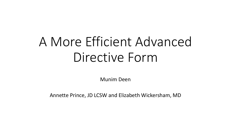# A More Efficient Advanced Directive Form

Munim Deen

Annette Prince, JD LCSW and Elizabeth Wickersham, MD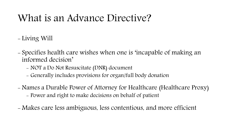## What is an Advance Directive?

- Living Will
- Specifies health care wishes when one is 'incapable of making an informed decision'
	- NOT a Do Not Resuscitate (DNR) document
	- Generally includes provisions for organ/full body donation
- Names a Durable Power of Attorney for Healthcare (Healthcare Proxy)
	- Power and right to make decisions on behalf of patient
- Makes care less ambiguous, less contentious, and more efficient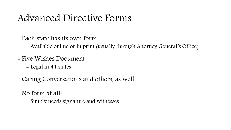## Advanced Directive Forms

- Each state has its own form
	- Available online or in print (usually through Attorney General's Office)
- Five Wishes Document
	- Legal in 41 states
- Caring Conversations and others, as well
- No form at all!
	- Simply needs signature and witnesses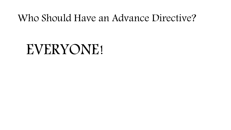## Who Should Have an Advance Directive?

# EVERYONE!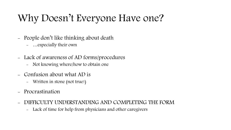## Why Doesn't Everyone Have one?

- People don't like thinking about death
	- …especially their own
- Lack of awareness of AD forms/procedures
	- Not knowing where/how to obtain one
- Confusion about what AD is
	- Written in stone (not true!)
- Procrastination
- DIFFICULTY UNDERSTANDING AND COMPLETING THE FORM
	- Lack of time for help from physicians and other caregivers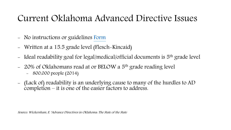### Current Oklahoma Advanced Directive Issues

- No instructions or guidelines [Form](http://www.okdhs.org/NR/rdonlyres/FA009A4B-9252-4099-892B-B9037A587EEA/0/8707W_AdvanceDirectiveforhealthCare_as_08012014.pdf)
- Written at a 15.5 grade level (Flesch-Kincaid)
- Ideal readability goal for legal/medical/official documents is 5<sup>th</sup> grade level
- 20% of Oklahomans read at or BELOW a 5<sup>th</sup> grade reading level - 800,000 people (2014)
- (Lack of) readability is an underlying cause to many of the hurdles to AD completion – it is one of the easier factors to address.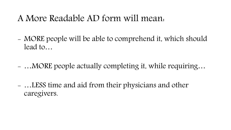### A More Readable AD form will mean:

- MORE people will be able to comprehend it, which should lead to…
- …MORE people actually completing it, while requiring…
- …LESS time and aid from their physicians and other caregivers.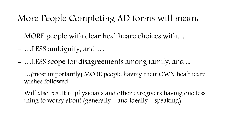## More People Completing AD forms will mean:

- MORE people with clear healthcare choices with…
- …LESS ambiguity, and …
- …LESS scope for disagreements among family, and ...
- …(most importantly) MORE people having their OWN healthcare wishes followed.
- Will also result in physicians and other caregivers having one less thing to worry about (generally – and ideally – speaking)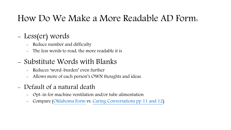## How Do We Make a More Readable AD Form:

#### - Less(er) words

- Reduce number and difficulty
- The less words to read, the more readable it is

#### - Substitute Words with Blanks

- Reduces 'word-burden' even further
- Allows more of each person's OWN thoughts and ideas.
- Default of a natural death
	- Opt-in for machine ventilation and/or tube alimentation
	- Compare [\(Oklahoma Form](http://www.okdhs.org/NR/rdonlyres/FA009A4B-9252-4099-892B-B9037A587EEA/0/8707W_AdvanceDirectiveforhealthCare_as_08012014.pdf) vs. [Caring Conversations pp 11 and 12\)](http://www.practicalbioethics.org/files/caring-conversations/Caring-Conversations.pdf)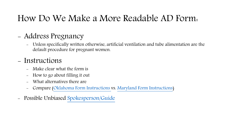## How Do We Make a More Readable AD Form:

#### - Address Pregnancy

- Unless specifically written otherwise, artificial ventilation and tube alimentation are the default procedure for pregnant women.

#### - Instructions

- Make clear what the form is
- How to go about filling it out
- What alternatives there are
- Compare [\(Oklahoma Form Instructions v](http://www.okdhs.org/NR/rdonlyres/FA009A4B-9252-4099-892B-B9037A587EEA/0/8707W_AdvanceDirectiveforhealthCare_as_08012014.pdf)s. [Maryland Form Instructions](https://www.oag.state.md.us/Healthpol/adirective.pdf))
- Possible Unbiased [Spokesperson/Guide](http://www.oag.state.md.us/healthpol/advancedirectives.htm)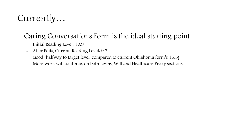## Currently…

#### - Caring Conversations Form is the ideal starting point

- Initial Reading Level: 10.9
- After Edits, Current Reading Level: 9.7
- Good (halfway to target level, compared to current Oklahoma form's 15.5)
- More work will continue, on both Living Will and Healthcare Proxy sections.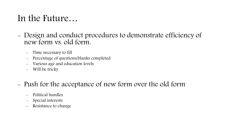## In the Future…

- Design and conduct procedures to demonstrate efficiency of new form vs. old form.
	- Time necessary to fill
	- Percentage of questions/blanks completed
	- Various age and education levels
	- Will be tricky
- Push for the acceptance of new form over the old form
	- Political hurdles
	- Special interests
	- Resistance to change